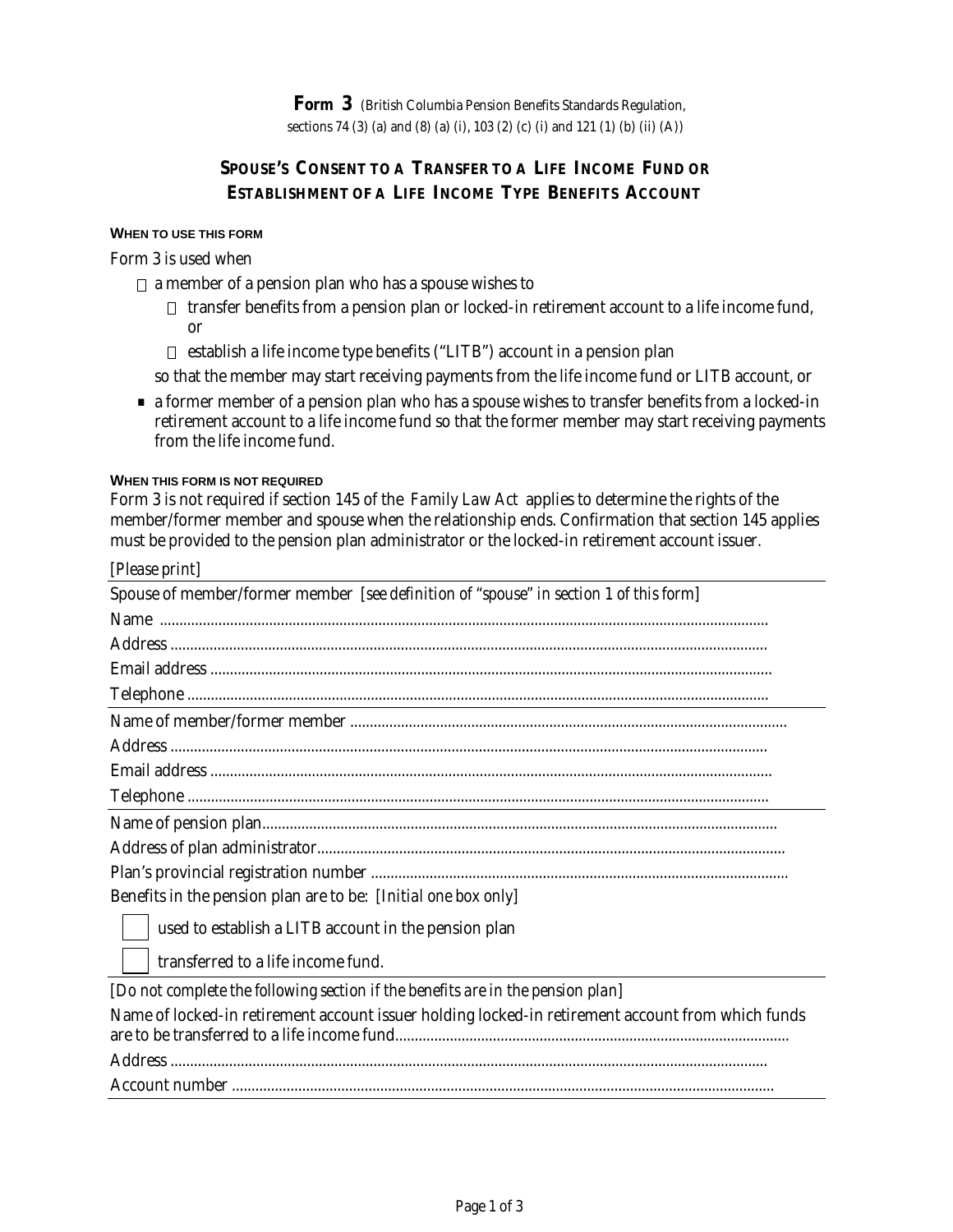# **SPOUSE'S CONSENT TO A TRANSFER TO A LIFE INCOME FUND OR ESTABLISHMENT OF A LIFE INCOME TYPE BENEFITS ACCOUNT**

#### **WHEN TO USE THIS FORM**

## Form 3 is used when

- $\Box$  a member of a pension plan who has a spouse wishes to
	- $\Box$  transfer benefits from a pension plan or locked-in retirement account to a life income fund, or
	- $\Box$  establish a life income type benefits ("LITB") account in a pension plan

so that the member may start receiving payments from the life income fund or LITB account, or

. a former member of a pension plan who has a spouse wishes to transfer benefits from a locked-in retirement account to a life income fund so that the former member may start receiving payments from the life income fund.

#### **WHEN THIS FORM IS NOT REQUIRED**

Form 3 is not required if section 145 of the *Family Law Act* applies to determine the rights of the member/former member and spouse when the relationship ends. Confirmation that section 145 applies must be provided to the pension plan administrator or the locked-in retirement account issuer.

| [Please print]                                                                                    |
|---------------------------------------------------------------------------------------------------|
| Spouse of member/former member [see definition of "spouse" in section 1 of this form]             |
|                                                                                                   |
|                                                                                                   |
|                                                                                                   |
|                                                                                                   |
|                                                                                                   |
|                                                                                                   |
|                                                                                                   |
|                                                                                                   |
|                                                                                                   |
|                                                                                                   |
|                                                                                                   |
| Benefits in the pension plan are to be: [Initial one box only]                                    |
| used to establish a LITB account in the pension plan                                              |
| transferred to a life income fund.                                                                |
| [Do not complete the following section if the benefits are in the pension plan]                   |
| Name of locked-in retirement account issuer holding locked-in retirement account from which funds |
|                                                                                                   |
|                                                                                                   |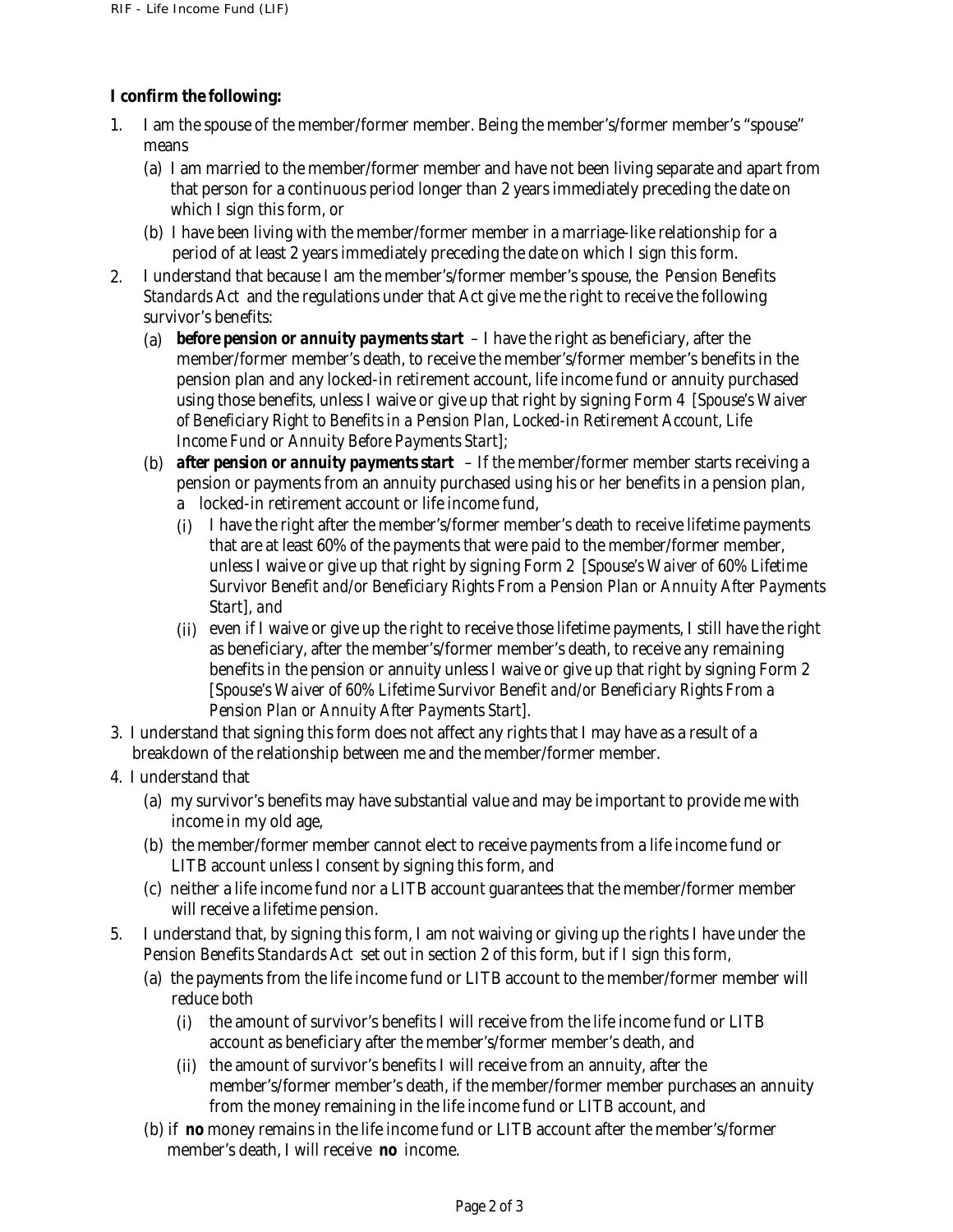# **I confirm the following:**

- 1. I am the spouse of the member/former member. Being the member's/former member's "spouse" means
	- (a) I am married to the member/former member and have not been living separate and apart from that person for a continuous period longer than 2 years immediately preceding the date on which I sign this form, or
	- (b) I have been living with the member/former member in a marriage-like relationship for a period of at least 2 years immediately preceding the date on which I sign this form.
- I understand that because I am the member's/former member's spouse, the *Pension Benefits Standards Act* and the regulations under that Act give me the right to receive the following survivor's benefits: 2.
	- (a) *before pension or annuity payments start*  I have the right as beneficiary, after the member/former member's death, to receive the member's/former member's benefits in the pension plan and any locked-in retirement account, life income fund or annuity purchased using those benefits, unless I waive or give up that right by signing Form 4 *[Spouse's Waiver of Beneficiary Right to Benefits in a Pension Plan, Locked-in Retirement Account, Life Income Fund or Annuity Before Payments Start];*
	- (b) *after pension or annuity payments start*  If the member/former member starts receiving a pension or payments from an annuity purchased using his or her benefits in a pension plan, a locked-in retirement account or life income fund,
		- (i) I have the right after the member's/former member's death to receive lifetime payments that are at least 60% of the payments that were paid to the member/former member, unless I waive or give up that right by signing Form 2 *[Spouse's Waiver of 60% Lifetime Survivor Benefit and/or Beneficiary Rights From a Pension Plan or Annuity After Payments Start], and*
		- (ii) even if I waive or give up the right to receive those lifetime payments, I still have the right as beneficiary, after the member's/former member's death, to receive any remaining benefits in the pension or annuity unless I waive or give up that right by signing Form 2 *[Spouse's Waiver of 60% Lifetime Survivor Benefit and/or Beneficiary Rights From a Pension Plan or Annuity After Payments Start].*
- 3. I understand that signing this form does not affect any rights that I may have as a result of a breakdown of the relationship between me and the member/former member.
- 4. I understand that
	- (a) my survivor's benefits may have substantial value and may be important to provide me with income in my old age,
	- (b) the member/former member cannot elect to receive payments from a life income fund or LITB account unless I consent by signing this form, and
	- (c) neither a life income fund nor a LITB account guarantees that the member/former member will receive a lifetime pension.
- 5. I understand that, by signing this form, I am not waiving or giving up the rights I have under the *Pension Benefits Standards Act* set out in section 2 of this form, but if I sign this form,
	- (a) the payments from the life income fund or LITB account to the member/former member will reduce both
		- (i) the amount of survivor's benefits I will receive from the life income fund or LITB account as beneficiary after the member's/former member's death, and
		- (ii) the amount of survivor's benefits I will receive from an annuity, after the member's/former member's death, if the member/former member purchases an annuity from the money remaining in the life income fund or LITB account, and
	- (b) if *no* money remains in the life income fund or LITB account after the member's/former member's death, I will receive *no* income.